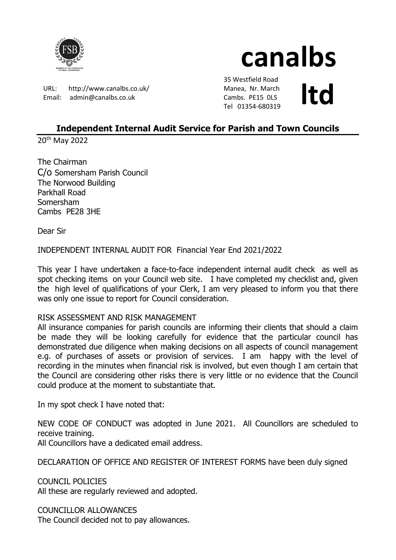

# canalbs

URL: http://www.canalbs.co.uk/ Email: admin@canalbs.co.uk

 35 Westfield Road Manea, Nr. March Cambs. PE15 0LS Manea, Nr. March<br>Cambs. PE15 OLS<br>Tel 01354-680319

# Independent Internal Audit Service for Parish and Town Councils

20th May 2022

The Chairman C/o Somersham Parish Council The Norwood Building Parkhall Road Somersham Cambs PE28 3HE

Dear Sir

INDEPENDENT INTERNAL AUDIT FOR Financial Year End 2021/2022

This year I have undertaken a face-to-face independent internal audit check as well as spot checking items on your Council web site. I have completed my checklist and, given the high level of qualifications of your Clerk, I am very pleased to inform you that there was only one issue to report for Council consideration.

## RISK ASSESSMENT AND RISK MANAGEMENT

All insurance companies for parish councils are informing their clients that should a claim be made they will be looking carefully for evidence that the particular council has demonstrated due diligence when making decisions on all aspects of council management e.g. of purchases of assets or provision of services. I am happy with the level of recording in the minutes when financial risk is involved, but even though I am certain that the Council are considering other risks there is very little or no evidence that the Council could produce at the moment to substantiate that.

In my spot check I have noted that:

NEW CODE OF CONDUCT was adopted in June 2021. All Councillors are scheduled to receive training.

All Councillors have a dedicated email address.

DECLARATION OF OFFICE AND REGISTER OF INTEREST FORMS have been duly signed

COUNCIL POLICIES All these are regularly reviewed and adopted.

COUNCILLOR ALLOWANCES The Council decided not to pay allowances.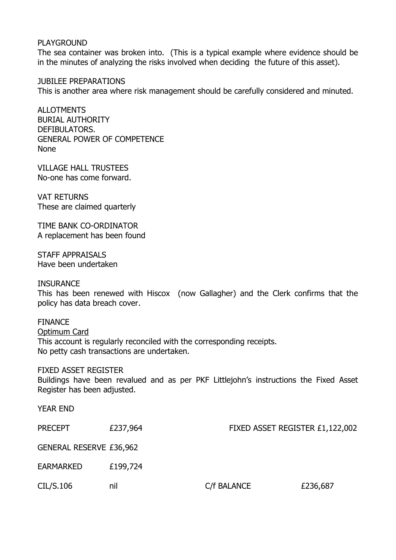#### PLAYGROUND

The sea container was broken into. (This is a typical example where evidence should be in the minutes of analyzing the risks involved when deciding the future of this asset).

JUBILEE PREPARATIONS This is another area where risk management should be carefully considered and minuted.

ALL OTMENTS BURIAL AUTHORITY DEFIBULATORS. GENERAL POWER OF COMPETENCE None

VILLAGE HALL TRUSTEES No-one has come forward.

VAT RETURNS These are claimed quarterly

TIME BANK CO-ORDINATOR A replacement has been found

STAFF APPRAISALS Have been undertaken

**INSURANCE** 

This has been renewed with Hiscox (now Gallagher) and the Clerk confirms that the policy has data breach cover.

FINANCE Optimum Card This account is regularly reconciled with the corresponding receipts. No petty cash transactions are undertaken.

### FIXED ASSET REGISTER

Buildings have been revalued and as per PKF Littlejohn's instructions the Fixed Asset Register has been adjusted.

| <b>YEAR END</b>                |          |                                 |          |
|--------------------------------|----------|---------------------------------|----------|
| <b>PRECEPT</b>                 | £237,964 | FIXED ASSET REGISTER £1,122,002 |          |
| <b>GENERAL RESERVE £36,962</b> |          |                                 |          |
| <b>EARMARKED</b>               | £199,724 |                                 |          |
| CIL/S.106                      | nil      | C/f BALANCE                     | £236,687 |